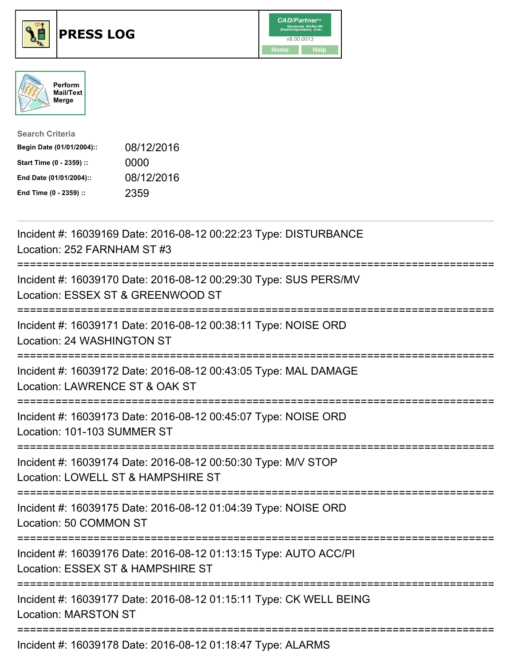

## **PRESS LOG** v8.00.0013





| <b>Search Criteria</b>    |            |
|---------------------------|------------|
| Begin Date (01/01/2004):: | 08/12/2016 |
| Start Time (0 - 2359) ::  | 0000       |
| End Date (01/01/2004)::   | 08/12/2016 |
| End Time (0 - 2359) ::    | 2359       |

Incident #: 16039169 Date: 2016-08-12 00:22:23 Type: DISTURBANCE Location: 252 FARNHAM ST #3 =========================================================================== Incident #: 16039170 Date: 2016-08-12 00:29:30 Type: SUS PERS/MV Location: ESSEX ST & GREENWOOD ST =========================================================================== Incident #: 16039171 Date: 2016-08-12 00:38:11 Type: NOISE ORD Location: 24 WASHINGTON ST =========================================================================== Incident #: 16039172 Date: 2016-08-12 00:43:05 Type: MAL DAMAGE Location: LAWRENCE ST & OAK ST =========================================================================== Incident #: 16039173 Date: 2016-08-12 00:45:07 Type: NOISE ORD Location: 101-103 SUMMER ST =========================================================================== Incident #: 16039174 Date: 2016-08-12 00:50:30 Type: M/V STOP Location: LOWELL ST & HAMPSHIRE ST =========================================================================== Incident #: 16039175 Date: 2016-08-12 01:04:39 Type: NOISE ORD Location: 50 COMMON ST =========================================================================== Incident #: 16039176 Date: 2016-08-12 01:13:15 Type: AUTO ACC/PI Location: ESSEX ST & HAMPSHIRE ST =========================================================================== Incident #: 16039177 Date: 2016-08-12 01:15:11 Type: CK WELL BEING Location: MARSTON ST =========================================================================== Incident #: 16039178 Date: 2016-08-12 01:18:47 Type: ALARMS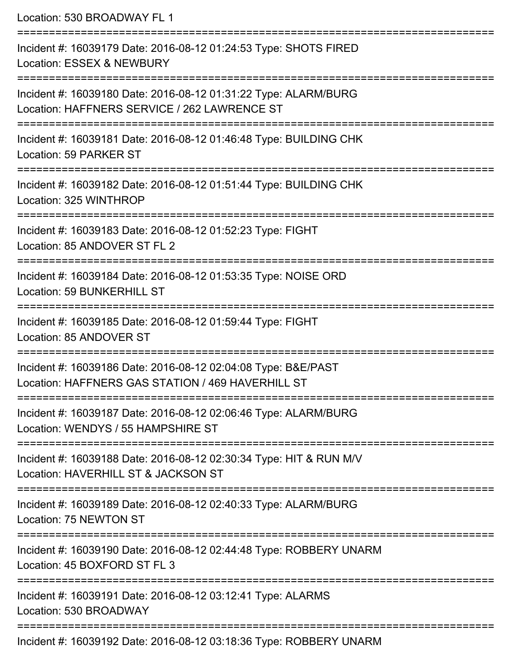Location: 530 BROADWAY FL 1 =========================================================================== Incident #: 16039179 Date: 2016-08-12 01:24:53 Type: SHOTS FIRED Location: ESSEX & NEWBURY =========================================================================== Incident #: 16039180 Date: 2016-08-12 01:31:22 Type: ALARM/BURG Location: HAFFNERS SERVICE / 262 LAWRENCE ST =========================================================================== Incident #: 16039181 Date: 2016-08-12 01:46:48 Type: BUILDING CHK Location: 59 PARKER ST =========================================================================== Incident #: 16039182 Date: 2016-08-12 01:51:44 Type: BUILDING CHK Location: 325 WINTHROP =========================================================================== Incident #: 16039183 Date: 2016-08-12 01:52:23 Type: FIGHT Location: 85 ANDOVER ST FL 2 =========================================================================== Incident #: 16039184 Date: 2016-08-12 01:53:35 Type: NOISE ORD Location: 59 BUNKERHILL ST =========================================================================== Incident #: 16039185 Date: 2016-08-12 01:59:44 Type: FIGHT Location: 85 ANDOVER ST =========================================================================== Incident #: 16039186 Date: 2016-08-12 02:04:08 Type: B&E/PAST Location: HAFFNERS GAS STATION / 469 HAVERHILL ST =========================================================================== Incident #: 16039187 Date: 2016-08-12 02:06:46 Type: ALARM/BURG Location: WENDYS / 55 HAMPSHIRE ST =========================================================================== Incident #: 16039188 Date: 2016-08-12 02:30:34 Type: HIT & RUN M/V Location: HAVERHILL ST & JACKSON ST =========================================================================== Incident #: 16039189 Date: 2016-08-12 02:40:33 Type: ALARM/BURG Location: 75 NEWTON ST =========================================================================== Incident #: 16039190 Date: 2016-08-12 02:44:48 Type: ROBBERY UNARM Location: 45 BOXFORD ST FL 3 =========================================================================== Incident #: 16039191 Date: 2016-08-12 03:12:41 Type: ALARMS Location: 530 BROADWAY =========================================================================== Incident #: 16039192 Date: 2016-08-12 03:18:36 Type: ROBBERY UNARM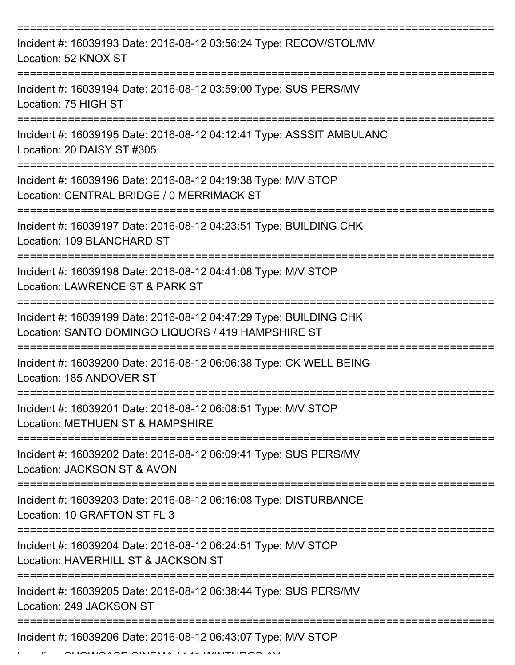| Incident #: 16039193 Date: 2016-08-12 03:56:24 Type: RECOV/STOL/MV<br>Location: 52 KNOX ST                              |
|-------------------------------------------------------------------------------------------------------------------------|
| Incident #: 16039194 Date: 2016-08-12 03:59:00 Type: SUS PERS/MV<br>Location: 75 HIGH ST                                |
| Incident #: 16039195 Date: 2016-08-12 04:12:41 Type: ASSSIT AMBULANC<br>Location: 20 DAISY ST #305                      |
| Incident #: 16039196 Date: 2016-08-12 04:19:38 Type: M/V STOP<br>Location: CENTRAL BRIDGE / 0 MERRIMACK ST              |
| Incident #: 16039197 Date: 2016-08-12 04:23:51 Type: BUILDING CHK<br>Location: 109 BLANCHARD ST                         |
| Incident #: 16039198 Date: 2016-08-12 04:41:08 Type: M/V STOP<br>Location: LAWRENCE ST & PARK ST                        |
| Incident #: 16039199 Date: 2016-08-12 04:47:29 Type: BUILDING CHK<br>Location: SANTO DOMINGO LIQUORS / 419 HAMPSHIRE ST |
| Incident #: 16039200 Date: 2016-08-12 06:06:38 Type: CK WELL BEING<br>Location: 185 ANDOVER ST                          |
| Incident #: 16039201 Date: 2016-08-12 06:08:51 Type: M/V STOP<br>Location: METHUEN ST & HAMPSHIRE                       |
| Incident #: 16039202 Date: 2016-08-12 06:09:41 Type: SUS PERS/MV<br>Location: JACKSON ST & AVON                         |
| Incident #: 16039203 Date: 2016-08-12 06:16:08 Type: DISTURBANCE<br>Location: 10 GRAFTON ST FL 3                        |
| Incident #: 16039204 Date: 2016-08-12 06:24:51 Type: M/V STOP<br>Location: HAVERHILL ST & JACKSON ST                    |
| Incident #: 16039205 Date: 2016-08-12 06:38:44 Type: SUS PERS/MV<br>Location: 249 JACKSON ST                            |
| Incident #: 16039206 Date: 2016-08-12 06:43:07 Type: M/V STOP                                                           |

Location: SHOWCASE CINEMA / 141 WINTHROP AV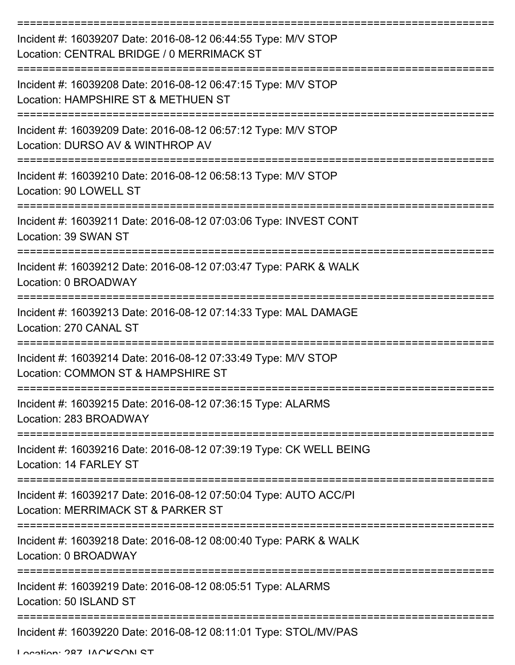| Incident #: 16039207 Date: 2016-08-12 06:44:55 Type: M/V STOP<br>Location: CENTRAL BRIDGE / 0 MERRIMACK ST             |
|------------------------------------------------------------------------------------------------------------------------|
| Incident #: 16039208 Date: 2016-08-12 06:47:15 Type: M/V STOP<br>Location: HAMPSHIRE ST & METHUEN ST                   |
| Incident #: 16039209 Date: 2016-08-12 06:57:12 Type: M/V STOP<br>Location: DURSO AV & WINTHROP AV                      |
| Incident #: 16039210 Date: 2016-08-12 06:58:13 Type: M/V STOP<br>Location: 90 LOWELL ST                                |
| Incident #: 16039211 Date: 2016-08-12 07:03:06 Type: INVEST CONT<br>Location: 39 SWAN ST                               |
| Incident #: 16039212 Date: 2016-08-12 07:03:47 Type: PARK & WALK<br>Location: 0 BROADWAY                               |
| Incident #: 16039213 Date: 2016-08-12 07:14:33 Type: MAL DAMAGE<br>Location: 270 CANAL ST                              |
| Incident #: 16039214 Date: 2016-08-12 07:33:49 Type: M/V STOP<br>Location: COMMON ST & HAMPSHIRE ST                    |
| Incident #: 16039215 Date: 2016-08-12 07:36:15 Type: ALARMS<br>Location: 283 BROADWAY                                  |
| Incident #: 16039216 Date: 2016-08-12 07:39:19 Type: CK WELL BEING<br>Location: 14 FARLEY ST<br>====================== |
| Incident #: 16039217 Date: 2016-08-12 07:50:04 Type: AUTO ACC/PI<br>Location: MERRIMACK ST & PARKER ST                 |
| Incident #: 16039218 Date: 2016-08-12 08:00:40 Type: PARK & WALK<br>Location: 0 BROADWAY                               |
| Incident #: 16039219 Date: 2016-08-12 08:05:51 Type: ALARMS<br>Location: 50 ISLAND ST                                  |
| Incident #: 16039220 Date: 2016-08-12 08:11:01 Type: STOL/MV/PAS                                                       |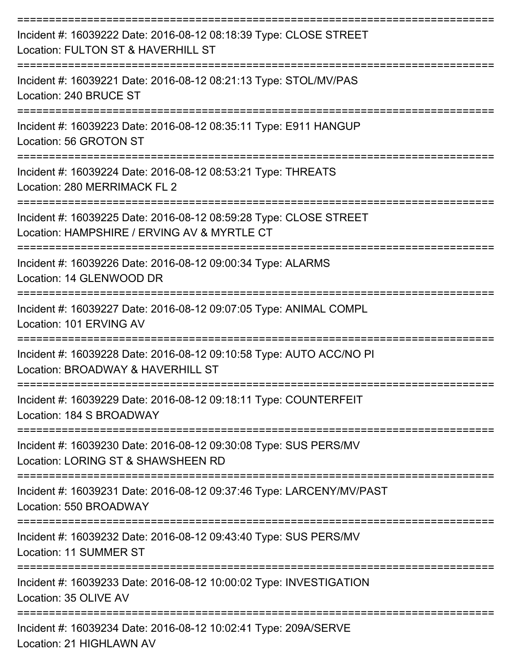| Incident #: 16039222 Date: 2016-08-12 08:18:39 Type: CLOSE STREET<br>Location: FULTON ST & HAVERHILL ST           |
|-------------------------------------------------------------------------------------------------------------------|
| Incident #: 16039221 Date: 2016-08-12 08:21:13 Type: STOL/MV/PAS<br>Location: 240 BRUCE ST<br>------------------- |
| Incident #: 16039223 Date: 2016-08-12 08:35:11 Type: E911 HANGUP<br>Location: 56 GROTON ST                        |
| Incident #: 16039224 Date: 2016-08-12 08:53:21 Type: THREATS<br>Location: 280 MERRIMACK FL 2                      |
| Incident #: 16039225 Date: 2016-08-12 08:59:28 Type: CLOSE STREET<br>Location: HAMPSHIRE / ERVING AV & MYRTLE CT  |
| Incident #: 16039226 Date: 2016-08-12 09:00:34 Type: ALARMS<br>Location: 14 GLENWOOD DR                           |
| Incident #: 16039227 Date: 2016-08-12 09:07:05 Type: ANIMAL COMPL<br>Location: 101 ERVING AV                      |
| Incident #: 16039228 Date: 2016-08-12 09:10:58 Type: AUTO ACC/NO PI<br>Location: BROADWAY & HAVERHILL ST          |
| Incident #: 16039229 Date: 2016-08-12 09:18:11 Type: COUNTERFEIT<br>Location: 184 S BROADWAY                      |
| Incident #: 16039230 Date: 2016-08-12 09:30:08 Type: SUS PERS/MV<br>Location: LORING ST & SHAWSHEEN RD            |
| Incident #: 16039231 Date: 2016-08-12 09:37:46 Type: LARCENY/MV/PAST<br>Location: 550 BROADWAY                    |
| Incident #: 16039232 Date: 2016-08-12 09:43:40 Type: SUS PERS/MV<br>Location: 11 SUMMER ST                        |
| Incident #: 16039233 Date: 2016-08-12 10:00:02 Type: INVESTIGATION<br>Location: 35 OLIVE AV                       |
| Incident #: 16039234 Date: 2016-08-12 10:02:41 Type: 209A/SERVE<br>Location: 21 HIGHLAWN AV                       |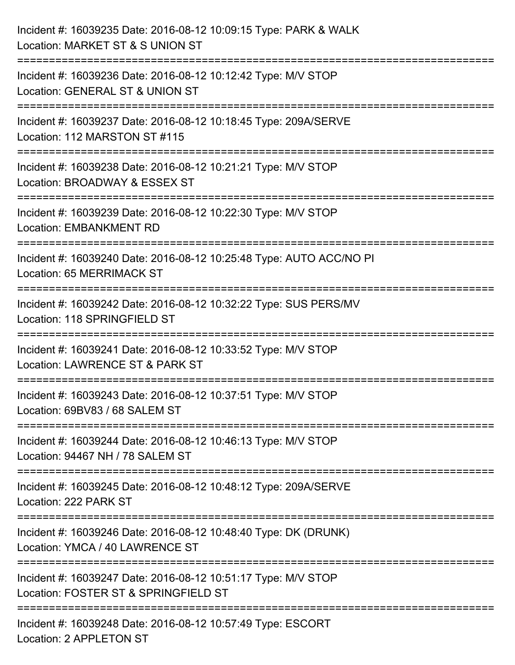| Incident #: 16039235 Date: 2016-08-12 10:09:15 Type: PARK & WALK<br>Location: MARKET ST & S UNION ST                              |
|-----------------------------------------------------------------------------------------------------------------------------------|
| Incident #: 16039236 Date: 2016-08-12 10:12:42 Type: M/V STOP<br>Location: GENERAL ST & UNION ST                                  |
| Incident #: 16039237 Date: 2016-08-12 10:18:45 Type: 209A/SERVE<br>Location: 112 MARSTON ST #115<br>============================= |
| Incident #: 16039238 Date: 2016-08-12 10:21:21 Type: M/V STOP<br>Location: BROADWAY & ESSEX ST                                    |
| Incident #: 16039239 Date: 2016-08-12 10:22:30 Type: M/V STOP<br><b>Location: EMBANKMENT RD</b>                                   |
| Incident #: 16039240 Date: 2016-08-12 10:25:48 Type: AUTO ACC/NO PI<br>Location: 65 MERRIMACK ST                                  |
| Incident #: 16039242 Date: 2016-08-12 10:32:22 Type: SUS PERS/MV<br>Location: 118 SPRINGFIELD ST                                  |
| Incident #: 16039241 Date: 2016-08-12 10:33:52 Type: M/V STOP<br>Location: LAWRENCE ST & PARK ST                                  |
| Incident #: 16039243 Date: 2016-08-12 10:37:51 Type: M/V STOP<br>Location: 69BV83 / 68 SALEM ST                                   |
| Incident #: 16039244 Date: 2016-08-12 10:46:13 Type: M/V STOP<br>Location: 94467 NH / 78 SALEM ST                                 |
| Incident #: 16039245 Date: 2016-08-12 10:48:12 Type: 209A/SERVE<br>Location: 222 PARK ST                                          |
| -------------------------<br>Incident #: 16039246 Date: 2016-08-12 10:48:40 Type: DK (DRUNK)<br>Location: YMCA / 40 LAWRENCE ST   |
| Incident #: 16039247 Date: 2016-08-12 10:51:17 Type: M/V STOP<br>Location: FOSTER ST & SPRINGFIELD ST                             |
| Incident #: 16039248 Date: 2016-08-12 10:57:49 Type: ESCORT<br>Location: 2 APPLETON ST                                            |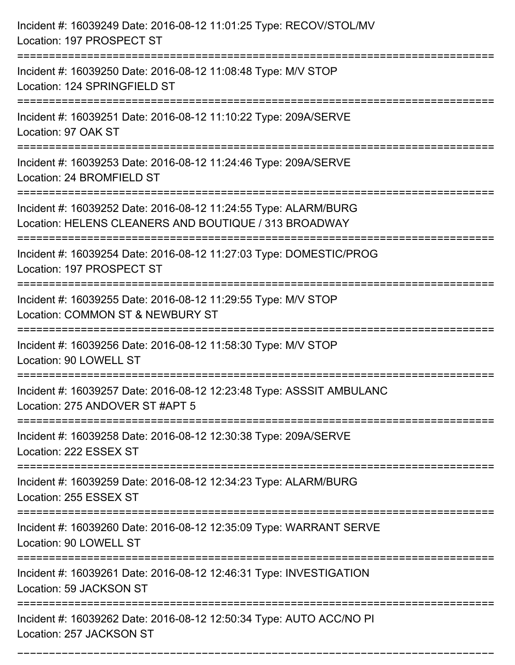| Incident #: 16039249 Date: 2016-08-12 11:01:25 Type: RECOV/STOL/MV<br>Location: 197 PROSPECT ST                          |
|--------------------------------------------------------------------------------------------------------------------------|
| Incident #: 16039250 Date: 2016-08-12 11:08:48 Type: M/V STOP<br>Location: 124 SPRINGFIELD ST                            |
| Incident #: 16039251 Date: 2016-08-12 11:10:22 Type: 209A/SERVE<br>Location: 97 OAK ST                                   |
| Incident #: 16039253 Date: 2016-08-12 11:24:46 Type: 209A/SERVE<br>Location: 24 BROMFIELD ST                             |
| Incident #: 16039252 Date: 2016-08-12 11:24:55 Type: ALARM/BURG<br>Location: HELENS CLEANERS AND BOUTIQUE / 313 BROADWAY |
| Incident #: 16039254 Date: 2016-08-12 11:27:03 Type: DOMESTIC/PROG<br>Location: 197 PROSPECT ST                          |
| Incident #: 16039255 Date: 2016-08-12 11:29:55 Type: M/V STOP<br>Location: COMMON ST & NEWBURY ST                        |
| Incident #: 16039256 Date: 2016-08-12 11:58:30 Type: M/V STOP<br>Location: 90 LOWELL ST                                  |
| Incident #: 16039257 Date: 2016-08-12 12:23:48 Type: ASSSIT AMBULANC<br>Location: 275 ANDOVER ST #APT 5                  |
| Incident #: 16039258 Date: 2016-08-12 12:30:38 Type: 209A/SERVE<br>Location: 222 ESSEX ST                                |
| Incident #: 16039259 Date: 2016-08-12 12:34:23 Type: ALARM/BURG<br>Location: 255 ESSEX ST                                |
| Incident #: 16039260 Date: 2016-08-12 12:35:09 Type: WARRANT SERVE<br>Location: 90 LOWELL ST<br>======================== |
| Incident #: 16039261 Date: 2016-08-12 12:46:31 Type: INVESTIGATION<br>Location: 59 JACKSON ST                            |
| Incident #: 16039262 Date: 2016-08-12 12:50:34 Type: AUTO ACC/NO PI<br>Location: 257 JACKSON ST                          |

===========================================================================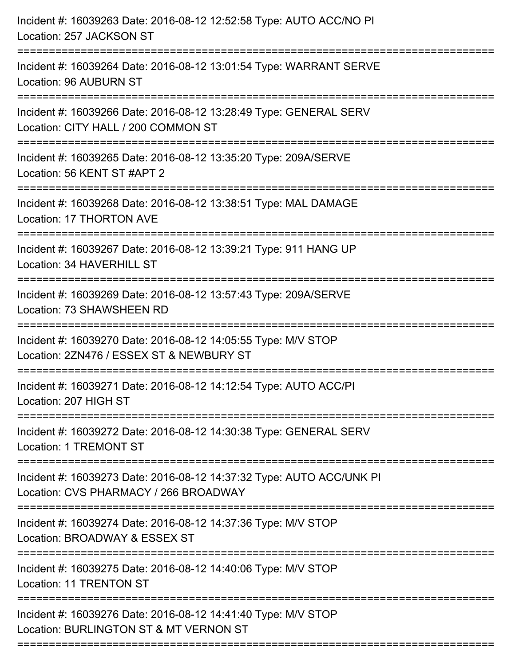| Incident #: 16039263 Date: 2016-08-12 12:52:58 Type: AUTO ACC/NO PI<br>Location: 257 JACKSON ST                                          |
|------------------------------------------------------------------------------------------------------------------------------------------|
| ;==================================<br>Incident #: 16039264 Date: 2016-08-12 13:01:54 Type: WARRANT SERVE<br>Location: 96 AUBURN ST      |
| Incident #: 16039266 Date: 2016-08-12 13:28:49 Type: GENERAL SERV<br>Location: CITY HALL / 200 COMMON ST<br>===================          |
| Incident #: 16039265 Date: 2016-08-12 13:35:20 Type: 209A/SERVE<br>Location: 56 KENT ST #APT 2<br>--------------------<br>-------------- |
| Incident #: 16039268 Date: 2016-08-12 13:38:51 Type: MAL DAMAGE<br>Location: 17 THORTON AVE                                              |
| Incident #: 16039267 Date: 2016-08-12 13:39:21 Type: 911 HANG UP<br>Location: 34 HAVERHILL ST                                            |
| ======================================<br>Incident #: 16039269 Date: 2016-08-12 13:57:43 Type: 209A/SERVE<br>Location: 73 SHAWSHEEN RD   |
| Incident #: 16039270 Date: 2016-08-12 14:05:55 Type: M/V STOP<br>Location: 2ZN476 / ESSEX ST & NEWBURY ST                                |
| Incident #: 16039271 Date: 2016-08-12 14:12:54 Type: AUTO ACC/PI<br>Location: 207 HIGH ST                                                |
| Incident #: 16039272 Date: 2016-08-12 14:30:38 Type: GENERAL SERV<br><b>Location: 1 TREMONT ST</b>                                       |
| Incident #: 16039273 Date: 2016-08-12 14:37:32 Type: AUTO ACC/UNK PI<br>Location: CVS PHARMACY / 266 BROADWAY                            |
| Incident #: 16039274 Date: 2016-08-12 14:37:36 Type: M/V STOP<br>Location: BROADWAY & ESSEX ST                                           |
| Incident #: 16039275 Date: 2016-08-12 14:40:06 Type: M/V STOP<br><b>Location: 11 TRENTON ST</b>                                          |
| Incident #: 16039276 Date: 2016-08-12 14:41:40 Type: M/V STOP<br>Location: BURLINGTON ST & MT VERNON ST                                  |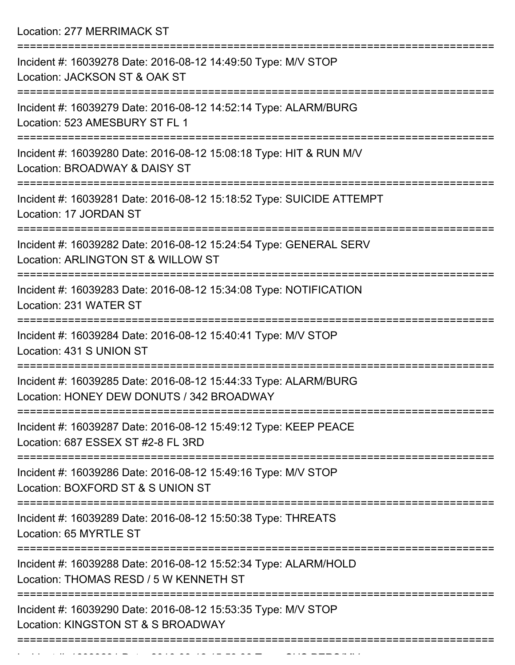Location: 277 MERRIMACK ST

| Incident #: 16039278 Date: 2016-08-12 14:49:50 Type: M/V STOP<br>Location: JACKSON ST & OAK ST               |
|--------------------------------------------------------------------------------------------------------------|
| Incident #: 16039279 Date: 2016-08-12 14:52:14 Type: ALARM/BURG<br>Location: 523 AMESBURY ST FL 1            |
| Incident #: 16039280 Date: 2016-08-12 15:08:18 Type: HIT & RUN M/V<br>Location: BROADWAY & DAISY ST          |
| Incident #: 16039281 Date: 2016-08-12 15:18:52 Type: SUICIDE ATTEMPT<br>Location: 17 JORDAN ST               |
| Incident #: 16039282 Date: 2016-08-12 15:24:54 Type: GENERAL SERV<br>Location: ARLINGTON ST & WILLOW ST      |
| Incident #: 16039283 Date: 2016-08-12 15:34:08 Type: NOTIFICATION<br>Location: 231 WATER ST                  |
| Incident #: 16039284 Date: 2016-08-12 15:40:41 Type: M/V STOP<br>Location: 431 S UNION ST                    |
| Incident #: 16039285 Date: 2016-08-12 15:44:33 Type: ALARM/BURG<br>Location: HONEY DEW DONUTS / 342 BROADWAY |
| Incident #: 16039287 Date: 2016-08-12 15:49:12 Type: KEEP PEACE<br>Location: 687 ESSEX ST #2-8 FL 3RD        |
| Incident #: 16039286 Date: 2016-08-12 15:49:16 Type: M/V STOP<br>Location: BOXFORD ST & S UNION ST           |
| Incident #: 16039289 Date: 2016-08-12 15:50:38 Type: THREATS<br>Location: 65 MYRTLE ST                       |
| Incident #: 16039288 Date: 2016-08-12 15:52:34 Type: ALARM/HOLD<br>Location: THOMAS RESD / 5 W KENNETH ST    |
| Incident #: 16039290 Date: 2016-08-12 15:53:35 Type: M/V STOP<br>Location: KINGSTON ST & S BROADWAY          |
|                                                                                                              |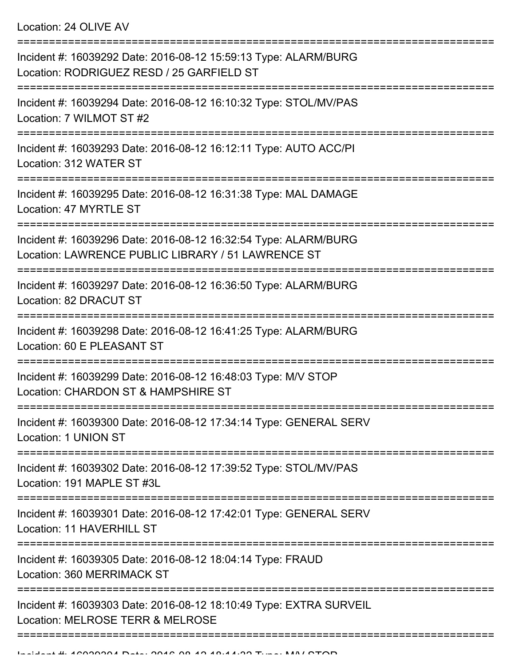Location: 24 OLIVE AV

| Incident #: 16039292 Date: 2016-08-12 15:59:13 Type: ALARM/BURG<br>Location: RODRIGUEZ RESD / 25 GARFIELD ST          |
|-----------------------------------------------------------------------------------------------------------------------|
| Incident #: 16039294 Date: 2016-08-12 16:10:32 Type: STOL/MV/PAS<br>Location: 7 WILMOT ST #2                          |
| Incident #: 16039293 Date: 2016-08-12 16:12:11 Type: AUTO ACC/PI<br>Location: 312 WATER ST                            |
| Incident #: 16039295 Date: 2016-08-12 16:31:38 Type: MAL DAMAGE<br>Location: 47 MYRTLE ST                             |
| Incident #: 16039296 Date: 2016-08-12 16:32:54 Type: ALARM/BURG<br>Location: LAWRENCE PUBLIC LIBRARY / 51 LAWRENCE ST |
| Incident #: 16039297 Date: 2016-08-12 16:36:50 Type: ALARM/BURG<br>Location: 82 DRACUT ST                             |
| Incident #: 16039298 Date: 2016-08-12 16:41:25 Type: ALARM/BURG<br>Location: 60 E PLEASANT ST                         |
| Incident #: 16039299 Date: 2016-08-12 16:48:03 Type: M/V STOP<br>Location: CHARDON ST & HAMPSHIRE ST                  |
| Incident #: 16039300 Date: 2016-08-12 17:34:14 Type: GENERAL SERV<br>Location: 1 UNION ST                             |
| ==================<br>Incident #: 16039302 Date: 2016-08-12 17:39:52 Type: STOL/MV/PAS<br>Location: 191 MAPLE ST #3L  |
| Incident #: 16039301 Date: 2016-08-12 17:42:01 Type: GENERAL SERV<br>Location: 11 HAVERHILL ST                        |
| Incident #: 16039305 Date: 2016-08-12 18:04:14 Type: FRAUD<br><b>Location: 360 MERRIMACK ST</b>                       |
| Incident #: 16039303 Date: 2016-08-12 18:10:49 Type: EXTRA SURVEIL<br>Location: MELROSE TERR & MELROSE                |
|                                                                                                                       |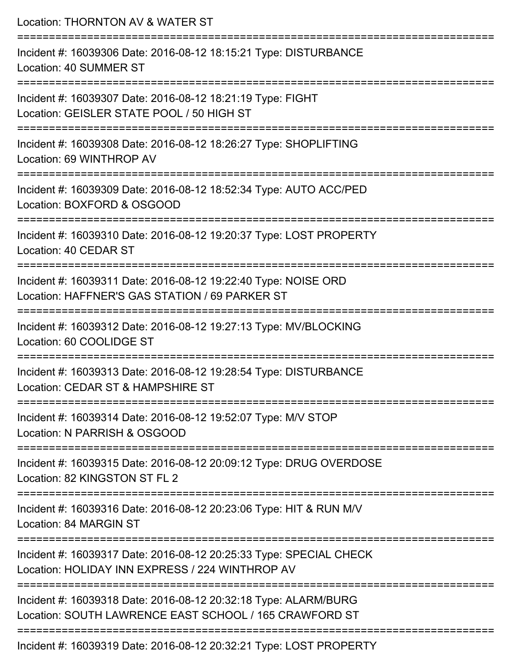| Location: THORNTON AV & WATER ST                                                                                          |
|---------------------------------------------------------------------------------------------------------------------------|
| Incident #: 16039306 Date: 2016-08-12 18:15:21 Type: DISTURBANCE<br>Location: 40 SUMMER ST                                |
| Incident #: 16039307 Date: 2016-08-12 18:21:19 Type: FIGHT<br>Location: GEISLER STATE POOL / 50 HIGH ST                   |
| Incident #: 16039308 Date: 2016-08-12 18:26:27 Type: SHOPLIFTING<br>Location: 69 WINTHROP AV                              |
| Incident #: 16039309 Date: 2016-08-12 18:52:34 Type: AUTO ACC/PED<br>Location: BOXFORD & OSGOOD                           |
| Incident #: 16039310 Date: 2016-08-12 19:20:37 Type: LOST PROPERTY<br>Location: 40 CEDAR ST                               |
| Incident #: 16039311 Date: 2016-08-12 19:22:40 Type: NOISE ORD<br>Location: HAFFNER'S GAS STATION / 69 PARKER ST          |
| Incident #: 16039312 Date: 2016-08-12 19:27:13 Type: MV/BLOCKING<br>Location: 60 COOLIDGE ST                              |
| Incident #: 16039313 Date: 2016-08-12 19:28:54 Type: DISTURBANCE<br>Location: CEDAR ST & HAMPSHIRE ST                     |
| Incident #: 16039314 Date: 2016-08-12 19:52:07 Type: M/V STOP<br>Location: N PARRISH & OSGOOD                             |
| Incident #: 16039315 Date: 2016-08-12 20:09:12 Type: DRUG OVERDOSE<br>Location: 82 KINGSTON ST FL 2                       |
| Incident #: 16039316 Date: 2016-08-12 20:23:06 Type: HIT & RUN M/V<br>Location: 84 MARGIN ST                              |
| Incident #: 16039317 Date: 2016-08-12 20:25:33 Type: SPECIAL CHECK<br>Location: HOLIDAY INN EXPRESS / 224 WINTHROP AV     |
| Incident #: 16039318 Date: 2016-08-12 20:32:18 Type: ALARM/BURG<br>Location: SOUTH LAWRENCE EAST SCHOOL / 165 CRAWFORD ST |
| $0.010, 0.010, 0.000, 0.01$ T.m. $\cdot$ LOOT DDODERTY                                                                    |

Incident #: 16039319 Date: 2016-08-12 20:32:21 Type: LOST PROPERTY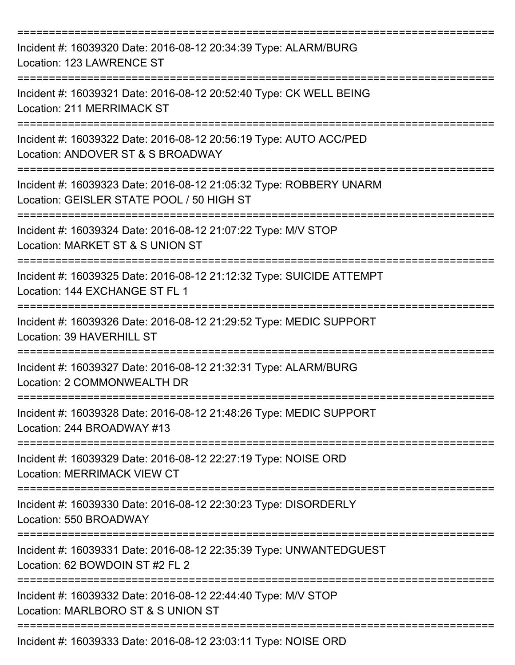| Incident #: 16039320 Date: 2016-08-12 20:34:39 Type: ALARM/BURG<br>Location: 123 LAWRENCE ST                    |
|-----------------------------------------------------------------------------------------------------------------|
| Incident #: 16039321 Date: 2016-08-12 20:52:40 Type: CK WELL BEING<br>Location: 211 MERRIMACK ST                |
| Incident #: 16039322 Date: 2016-08-12 20:56:19 Type: AUTO ACC/PED<br>Location: ANDOVER ST & S BROADWAY          |
| Incident #: 16039323 Date: 2016-08-12 21:05:32 Type: ROBBERY UNARM<br>Location: GEISLER STATE POOL / 50 HIGH ST |
| Incident #: 16039324 Date: 2016-08-12 21:07:22 Type: M/V STOP<br>Location: MARKET ST & S UNION ST               |
| Incident #: 16039325 Date: 2016-08-12 21:12:32 Type: SUICIDE ATTEMPT<br>Location: 144 EXCHANGE ST FL 1          |
| Incident #: 16039326 Date: 2016-08-12 21:29:52 Type: MEDIC SUPPORT<br>Location: 39 HAVERHILL ST                 |
| Incident #: 16039327 Date: 2016-08-12 21:32:31 Type: ALARM/BURG<br>Location: 2 COMMONWEALTH DR                  |
| Incident #: 16039328 Date: 2016-08-12 21:48:26 Type: MEDIC SUPPORT<br>Location: 244 BROADWAY #13                |
| Incident #: 16039329 Date: 2016-08-12 22:27:19 Type: NOISE ORD<br><b>Location: MERRIMACK VIEW CT</b>            |
| Incident #: 16039330 Date: 2016-08-12 22:30:23 Type: DISORDERLY<br>Location: 550 BROADWAY                       |
| Incident #: 16039331 Date: 2016-08-12 22:35:39 Type: UNWANTEDGUEST<br>Location: 62 BOWDOIN ST #2 FL 2           |
| Incident #: 16039332 Date: 2016-08-12 22:44:40 Type: M/V STOP<br>Location: MARLBORO ST & S UNION ST             |
| Incident #: 16039333 Date: 2016-08-12 23:03:11 Type: NOISE ORD                                                  |